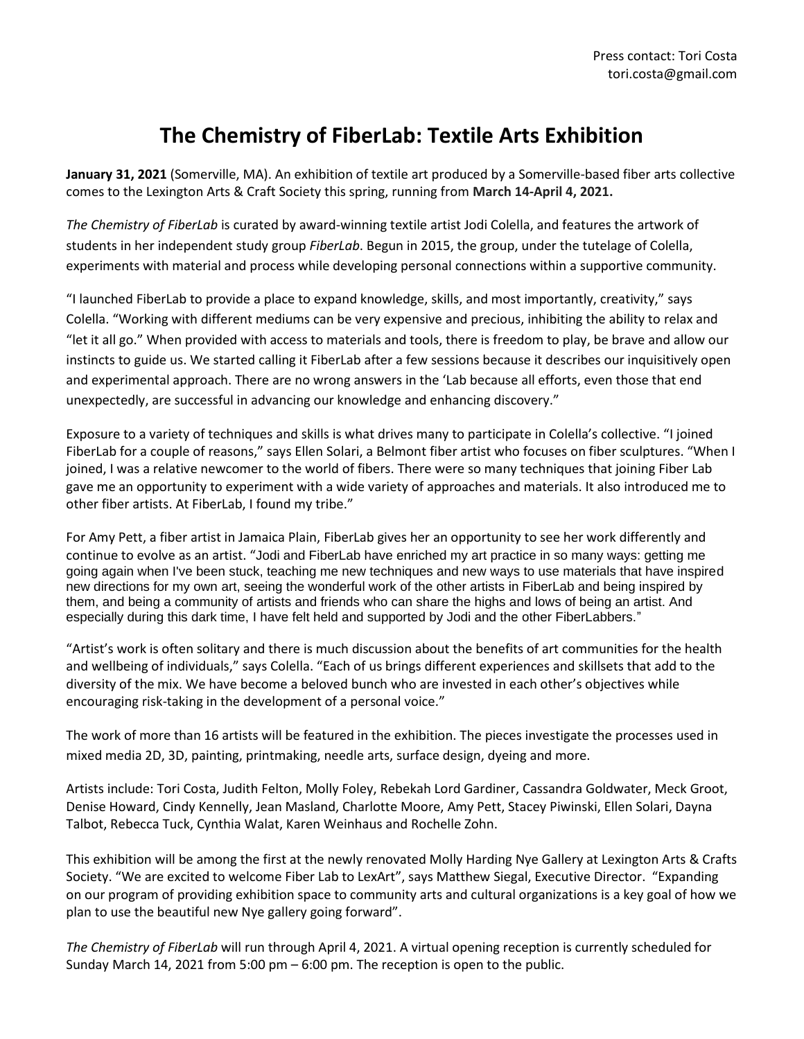## **The Chemistry of FiberLab: Textile Arts Exhibition**

**January 31, 2021** (Somerville, MA). An exhibition of textile art produced by a Somerville-based fiber arts collective comes to the Lexington Arts & Craft Society this spring, running from **March 14-April 4, 2021.**

*The Chemistry of FiberLab* is curated by award-winning textile artist Jodi Colella, and features the artwork of students in her independent study group *FiberLab*. Begun in 2015, the group, under the tutelage of Colella, experiments with material and process while developing personal connections within a supportive community.

"I launched FiberLab to provide a place to expand knowledge, skills, and most importantly, creativity," says Colella. "Working with different mediums can be very expensive and precious, inhibiting the ability to relax and "let it all go." When provided with access to materials and tools, there is freedom to play, be brave and allow our instincts to guide us. We started calling it FiberLab after a few sessions because it describes our inquisitively open and experimental approach. There are no wrong answers in the 'Lab because all efforts, even those that end unexpectedly, are successful in advancing our knowledge and enhancing discovery."

Exposure to a variety of techniques and skills is what drives many to participate in Colella's collective. "I joined FiberLab for a couple of reasons," says Ellen Solari, a Belmont fiber artist who focuses on fiber sculptures. "When I joined, I was a relative newcomer to the world of fibers. There were so many techniques that joining Fiber Lab gave me an opportunity to experiment with a wide variety of approaches and materials. It also introduced me to other fiber artists. At FiberLab, I found my tribe."

For Amy Pett, a fiber artist in Jamaica Plain, FiberLab gives her an opportunity to see her work differently and continue to evolve as an artist. "Jodi and FiberLab have enriched my art practice in so many ways: getting me going again when I've been stuck, teaching me new techniques and new ways to use materials that have inspired new directions for my own art, seeing the wonderful work of the other artists in FiberLab and being inspired by them, and being a community of artists and friends who can share the highs and lows of being an artist. And especially during this dark time, I have felt held and supported by Jodi and the other FiberLabbers."

"Artist's work is often solitary and there is much discussion about the benefits of art communities for the health and wellbeing of individuals," says Colella. "Each of us brings different experiences and skillsets that add to the diversity of the mix. We have become a beloved bunch who are invested in each other's objectives while encouraging risk-taking in the development of a personal voice."

The work of more than 16 artists will be featured in the exhibition. The pieces investigate the processes used in mixed media 2D, 3D, painting, printmaking, needle arts, surface design, dyeing and more.

Artists include: Tori Costa, Judith Felton, Molly Foley, Rebekah Lord Gardiner, Cassandra Goldwater, Meck Groot, Denise Howard, Cindy Kennelly, Jean Masland, Charlotte Moore, Amy Pett, Stacey Piwinski, Ellen Solari, Dayna Talbot, Rebecca Tuck, Cynthia Walat, Karen Weinhaus and Rochelle Zohn.

This exhibition will be among the first at the newly renovated Molly Harding Nye Gallery at Lexington Arts & Crafts Society. "We are excited to welcome Fiber Lab to LexArt", says Matthew Siegal, Executive Director. "Expanding on our program of providing exhibition space to community arts and cultural organizations is a key goal of how we plan to use the beautiful new Nye gallery going forward".

*The Chemistry of FiberLab* will run through April 4, 2021. A virtual opening reception is currently scheduled for Sunday March 14, 2021 from 5:00 pm – 6:00 pm. The reception is open to the public.